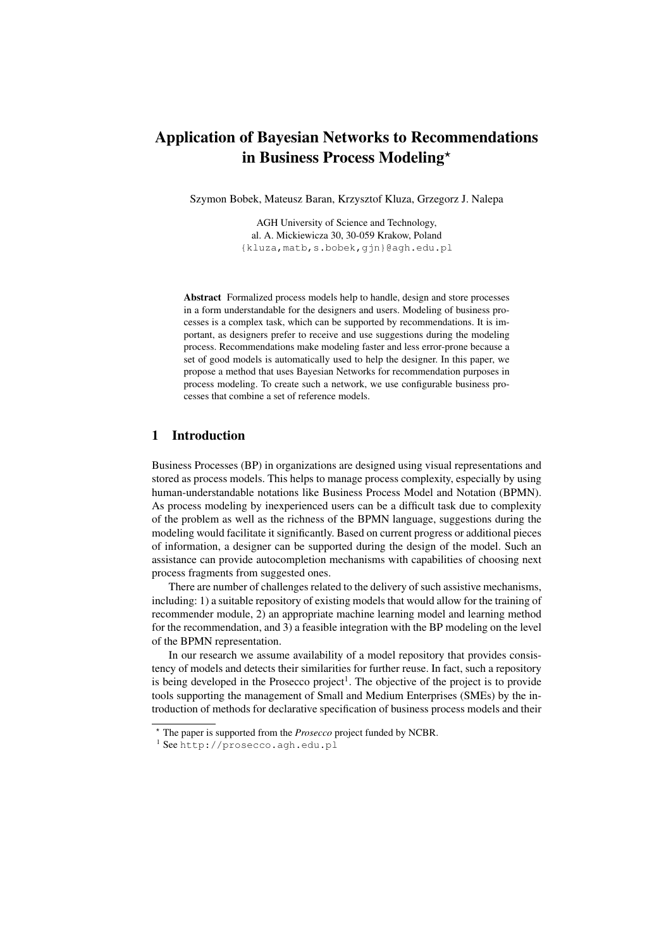# Application of Bayesian Networks to Recommendations in Business Process Modeling\*

Szymon Bobek, Mateusz Baran, Krzysztof Kluza, Grzegorz J. Nalepa

AGH University of Science and Technology, al. A. Mickiewicza 30, 30-059 Krakow, Poland {kluza,matb,s.bobek,gjn}@agh.edu.pl

Abstract Formalized process models help to handle, design and store processes in a form understandable for the designers and users. Modeling of business processes is a complex task, which can be supported by recommendations. It is important, as designers prefer to receive and use suggestions during the modeling process. Recommendations make modeling faster and less error-prone because a set of good models is automatically used to help the designer. In this paper, we propose a method that uses Bayesian Networks for recommendation purposes in process modeling. To create such a network, we use configurable business processes that combine a set of reference models.

## 1 Introduction

Business Processes (BP) in organizations are designed using visual representations and stored as process models. This helps to manage process complexity, especially by using human-understandable notations like Business Process Model and Notation (BPMN). As process modeling by inexperienced users can be a difficult task due to complexity of the problem as well as the richness of the BPMN language, suggestions during the modeling would facilitate it significantly. Based on current progress or additional pieces of information, a designer can be supported during the design of the model. Such an assistance can provide autocompletion mechanisms with capabilities of choosing next process fragments from suggested ones.

There are number of challenges related to the delivery of such assistive mechanisms, including: 1) a suitable repository of existing models that would allow for the training of recommender module, 2) an appropriate machine learning model and learning method for the recommendation, and 3) a feasible integration with the BP modeling on the level of the BPMN representation.

In our research we assume availability of a model repository that provides consistency of models and detects their similarities for further reuse. In fact, such a repository is being developed in the Prosecco project<sup>1</sup>. The objective of the project is to provide tools supporting the management of Small and Medium Enterprises (SMEs) by the introduction of methods for declarative specification of business process models and their

<sup>?</sup> The paper is supported from the *Prosecco* project funded by NCBR.

<sup>1</sup> See http://prosecco.agh.edu.pl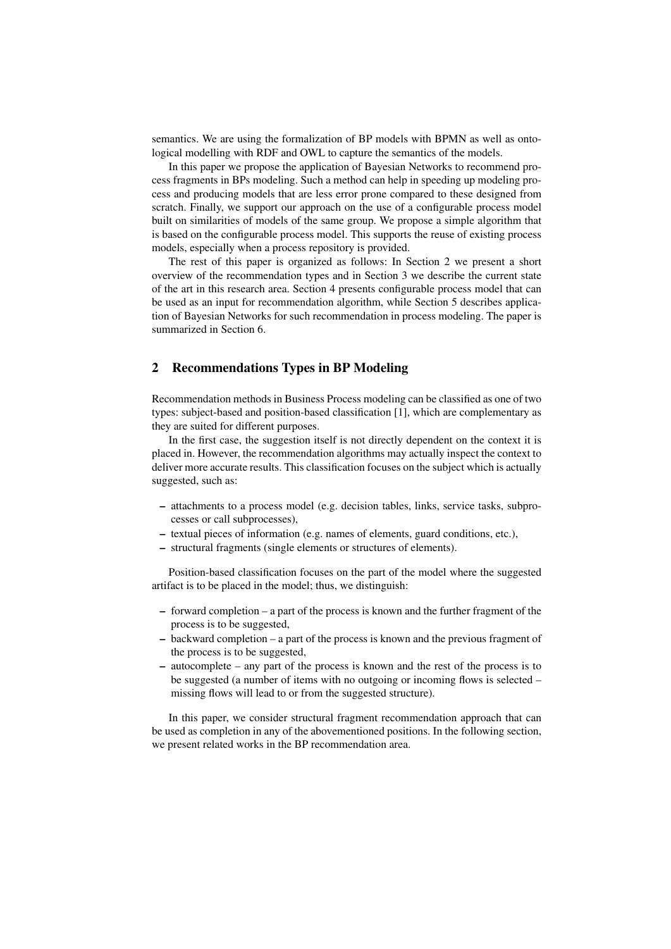semantics. We are using the formalization of BP models with BPMN as well as ontological modelling with RDF and OWL to capture the semantics of the models.

In this paper we propose the application of Bayesian Networks to recommend process fragments in BPs modeling. Such a method can help in speeding up modeling process and producing models that are less error prone compared to these designed from scratch. Finally, we support our approach on the use of a configurable process model built on similarities of models of the same group. We propose a simple algorithm that is based on the configurable process model. This supports the reuse of existing process models, especially when a process repository is provided.

The rest of this paper is organized as follows: In Section 2 we present a short overview of the recommendation types and in Section 3 we describe the current state of the art in this research area. Section 4 presents configurable process model that can be used as an input for recommendation algorithm, while Section 5 describes application of Bayesian Networks for such recommendation in process modeling. The paper is summarized in Section 6.

## 2 Recommendations Types in BP Modeling

Recommendation methods in Business Process modeling can be classified as one of two types: subject-based and position-based classification [1], which are complementary as they are suited for different purposes.

In the first case, the suggestion itself is not directly dependent on the context it is placed in. However, the recommendation algorithms may actually inspect the context to deliver more accurate results. This classification focuses on the subject which is actually suggested, such as:

- attachments to a process model (e.g. decision tables, links, service tasks, subprocesses or call subprocesses),
- textual pieces of information (e.g. names of elements, guard conditions, etc.),
- structural fragments (single elements or structures of elements).

Position-based classification focuses on the part of the model where the suggested artifact is to be placed in the model; thus, we distinguish:

- forward completion a part of the process is known and the further fragment of the process is to be suggested,
- backward completion a part of the process is known and the previous fragment of the process is to be suggested,
- autocomplete any part of the process is known and the rest of the process is to be suggested (a number of items with no outgoing or incoming flows is selected – missing flows will lead to or from the suggested structure).

In this paper, we consider structural fragment recommendation approach that can be used as completion in any of the abovementioned positions. In the following section, we present related works in the BP recommendation area.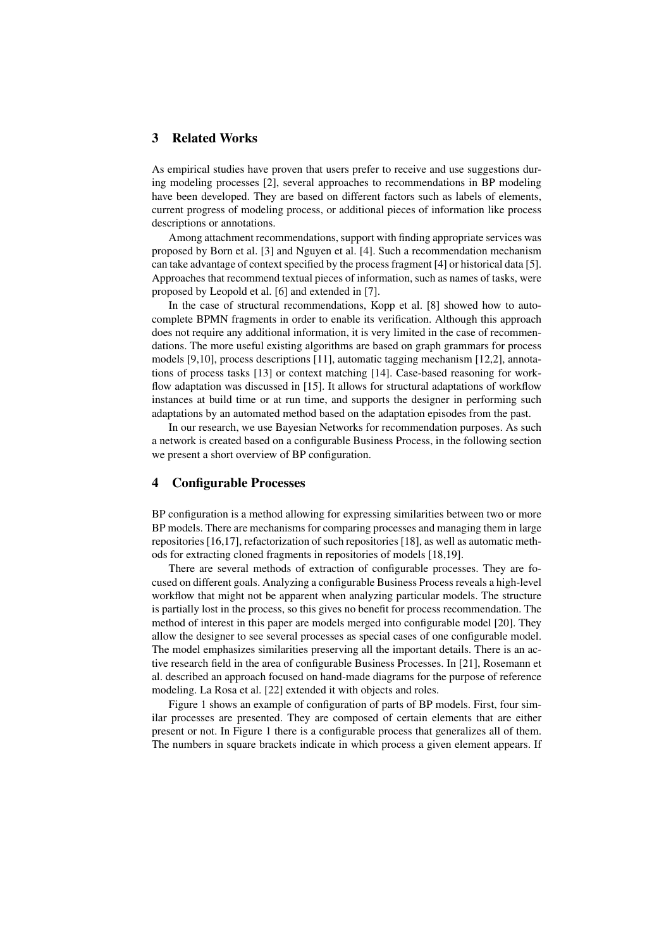#### 3 Related Works

As empirical studies have proven that users prefer to receive and use suggestions during modeling processes [2], several approaches to recommendations in BP modeling have been developed. They are based on different factors such as labels of elements, current progress of modeling process, or additional pieces of information like process descriptions or annotations.

Among attachment recommendations, support with finding appropriate services was proposed by Born et al. [3] and Nguyen et al. [4]. Such a recommendation mechanism can take advantage of context specified by the process fragment [4] or historical data [5]. Approaches that recommend textual pieces of information, such as names of tasks, were proposed by Leopold et al. [6] and extended in [7].

In the case of structural recommendations, Kopp et al. [8] showed how to autocomplete BPMN fragments in order to enable its verification. Although this approach does not require any additional information, it is very limited in the case of recommendations. The more useful existing algorithms are based on graph grammars for process models [9,10], process descriptions [11], automatic tagging mechanism [12,2], annotations of process tasks [13] or context matching [14]. Case-based reasoning for workflow adaptation was discussed in [15]. It allows for structural adaptations of workflow instances at build time or at run time, and supports the designer in performing such adaptations by an automated method based on the adaptation episodes from the past.

In our research, we use Bayesian Networks for recommendation purposes. As such a network is created based on a configurable Business Process, in the following section we present a short overview of BP configuration.

## 4 Configurable Processes

BP configuration is a method allowing for expressing similarities between two or more BP models. There are mechanisms for comparing processes and managing them in large repositories [16,17], refactorization of such repositories [18], as well as automatic methods for extracting cloned fragments in repositories of models [18,19].

There are several methods of extraction of configurable processes. They are focused on different goals. Analyzing a configurable Business Process reveals a high-level workflow that might not be apparent when analyzing particular models. The structure is partially lost in the process, so this gives no benefit for process recommendation. The method of interest in this paper are models merged into configurable model [20]. They allow the designer to see several processes as special cases of one configurable model. The model emphasizes similarities preserving all the important details. There is an active research field in the area of configurable Business Processes. In [21], Rosemann et al. described an approach focused on hand-made diagrams for the purpose of reference modeling. La Rosa et al. [22] extended it with objects and roles.

Figure 1 shows an example of configuration of parts of BP models. First, four similar processes are presented. They are composed of certain elements that are either present or not. In Figure 1 there is a configurable process that generalizes all of them. The numbers in square brackets indicate in which process a given element appears. If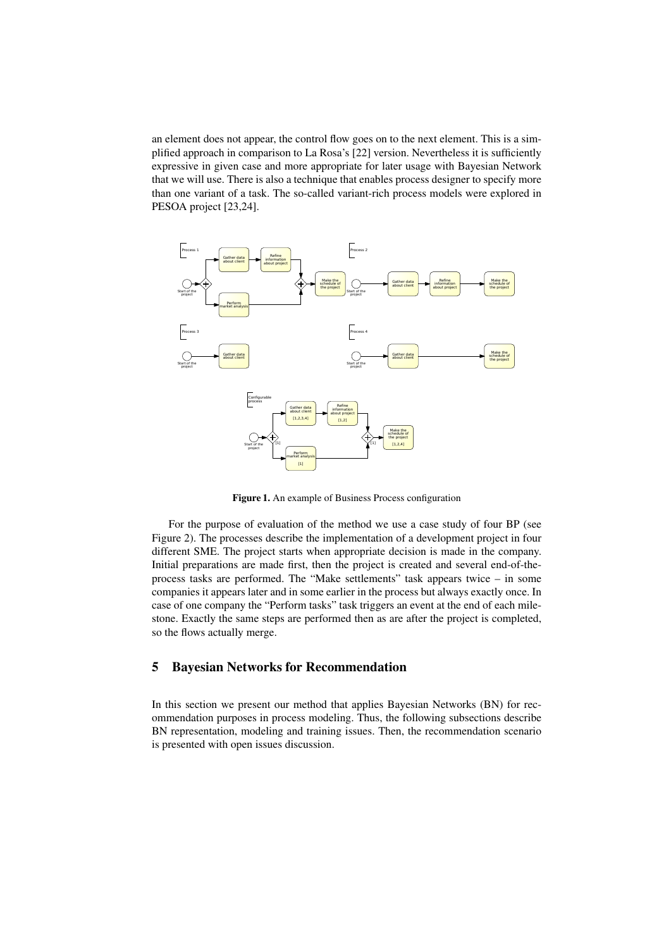an element does not appear, the control flow goes on to the next element. This is a simplified approach in comparison to La Rosa's [22] version. Nevertheless it is sufficiently expressive in given case and more appropriate for later usage with Bayesian Network that we will use. There is also a technique that enables process designer to specify more than one variant of a task. The so-called variant-rich process models were explored in PESOA project [23,24].



Figure 1. An example of Business Process configuration

For the purpose of evaluation of the method we use a case study of four BP (see Figure 2). The processes describe the implementation of a development project in four different SME. The project starts when appropriate decision is made in the company. Initial preparations are made first, then the project is created and several end-of-theprocess tasks are performed. The "Make settlements" task appears twice – in some companies it appears later and in some earlier in the process but always exactly once. In case of one company the "Perform tasks" task triggers an event at the end of each milestone. Exactly the same steps are performed then as are after the project is completed, so the flows actually merge.

### 5 Bayesian Networks for Recommendation

In this section we present our method that applies Bayesian Networks (BN) for recommendation purposes in process modeling. Thus, the following subsections describe BN representation, modeling and training issues. Then, the recommendation scenario is presented with open issues discussion.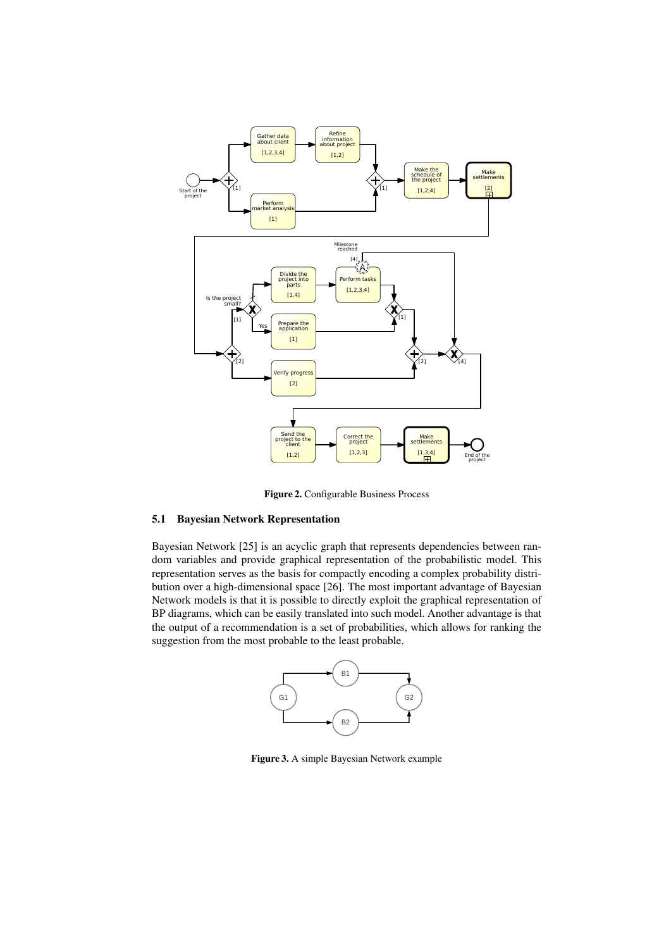

Figure 2. Configurable Business Process

#### 5.1 Bayesian Network Representation

Bayesian Network [25] is an acyclic graph that represents dependencies between random variables and provide graphical representation of the probabilistic model. This representation serves as the basis for compactly encoding a complex probability distribution over a high-dimensional space [26]. The most important advantage of Bayesian Network models is that it is possible to directly exploit the graphical representation of BP diagrams, which can be easily translated into such model. Another advantage is that the output of a recommendation is a set of probabilities, which allows for ranking the suggestion from the most probable to the least probable.



Figure 3. A simple Bayesian Network example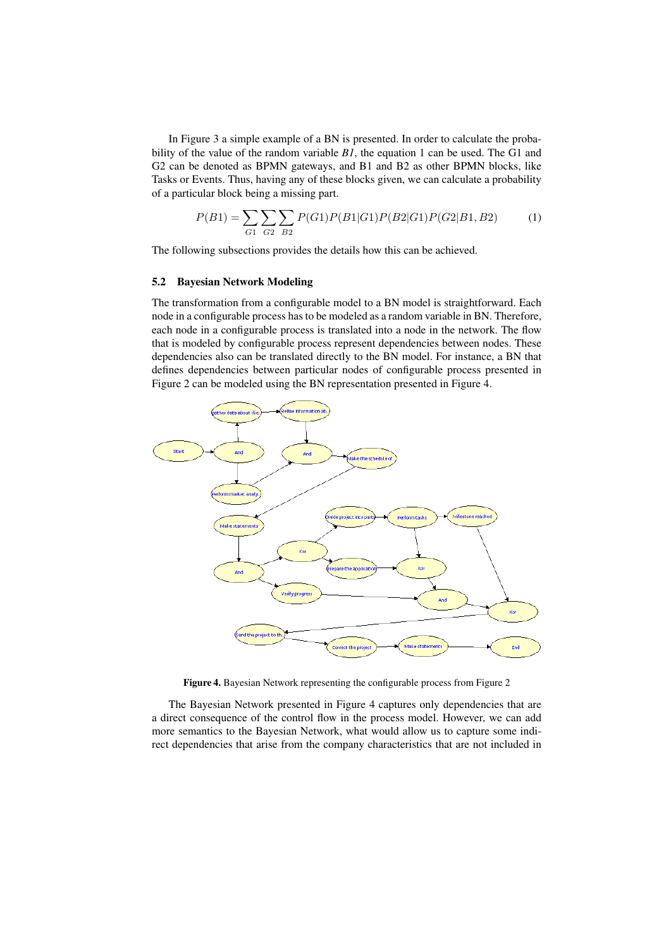In Figure 3 a simple example of a BN is presented. In order to calculate the probability of the value of the random variable *B1*, the equation 1 can be used. The G1 and G2 can be denoted as BPMN gateways, and B1 and B2 as other BPMN blocks, like Tasks or Events. Thus, having any of these blocks given, we can calculate a probability of a particular block being a missing part.

$$
P(B1) = \sum_{G1} \sum_{G2} \sum_{B2} P(G1)P(B1|G1)P(B2|G1)P(G2|B1, B2)
$$
 (1)

The following subsections provides the details how this can be achieved.

#### 5.2 Bayesian Network Modeling

The transformation from a configurable model to a BN model is straightforward. Each node in a configurable process has to be modeled as a random variable in BN. Therefore, each node in a configurable process is translated into a node in the network. The flow that is modeled by configurable process represent dependencies between nodes. These dependencies also can be translated directly to the BN model. For instance, a BN that defines dependencies between particular nodes of configurable process presented in Figure 2 can be modeled using the BN representation presented in Figure 4.



Figure 4. Bayesian Network representing the configurable process from Figure 2

The Bayesian Network presented in Figure 4 captures only dependencies that are a direct consequence of the control flow in the process model. However, we can add more semantics to the Bayesian Network, what would allow us to capture some indirect dependencies that arise from the company characteristics that are not included in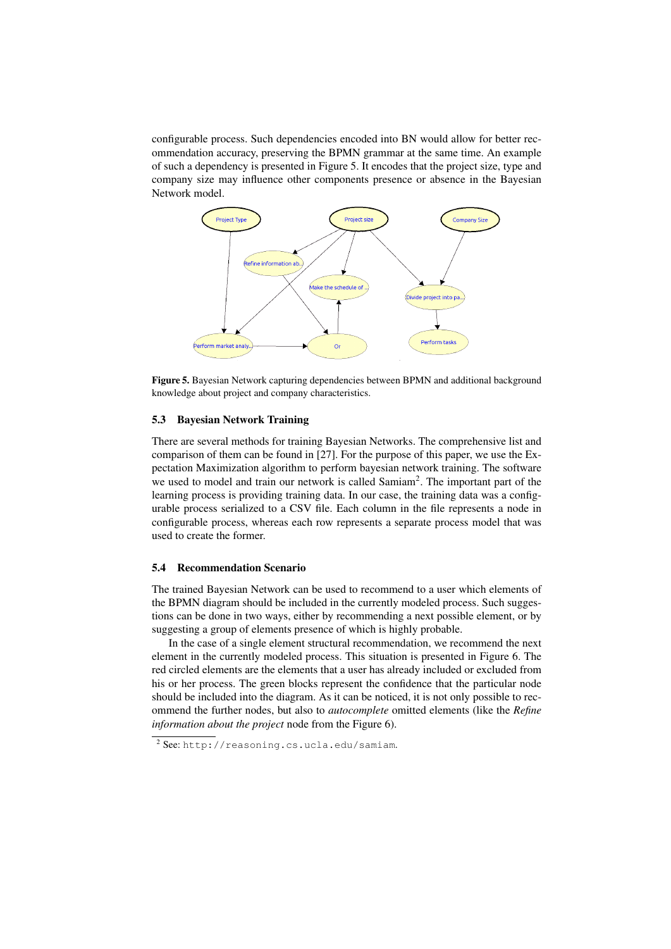configurable process. Such dependencies encoded into BN would allow for better recommendation accuracy, preserving the BPMN grammar at the same time. An example of such a dependency is presented in Figure 5. It encodes that the project size, type and company size may influence other components presence or absence in the Bayesian Network model.



Figure 5. Bayesian Network capturing dependencies between BPMN and additional background knowledge about project and company characteristics.

#### 5.3 Bayesian Network Training

There are several methods for training Bayesian Networks. The comprehensive list and comparison of them can be found in [27]. For the purpose of this paper, we use the Expectation Maximization algorithm to perform bayesian network training. The software we used to model and train our network is called Samiam<sup>2</sup>. The important part of the learning process is providing training data. In our case, the training data was a configurable process serialized to a CSV file. Each column in the file represents a node in configurable process, whereas each row represents a separate process model that was used to create the former.

#### 5.4 Recommendation Scenario

The trained Bayesian Network can be used to recommend to a user which elements of the BPMN diagram should be included in the currently modeled process. Such suggestions can be done in two ways, either by recommending a next possible element, or by suggesting a group of elements presence of which is highly probable.

In the case of a single element structural recommendation, we recommend the next element in the currently modeled process. This situation is presented in Figure 6. The red circled elements are the elements that a user has already included or excluded from his or her process. The green blocks represent the confidence that the particular node should be included into the diagram. As it can be noticed, it is not only possible to recommend the further nodes, but also to *autocomplete* omitted elements (like the *Refine information about the project* node from the Figure 6).

 $^2$  See: http://reasoning.cs.ucla.edu/samiam.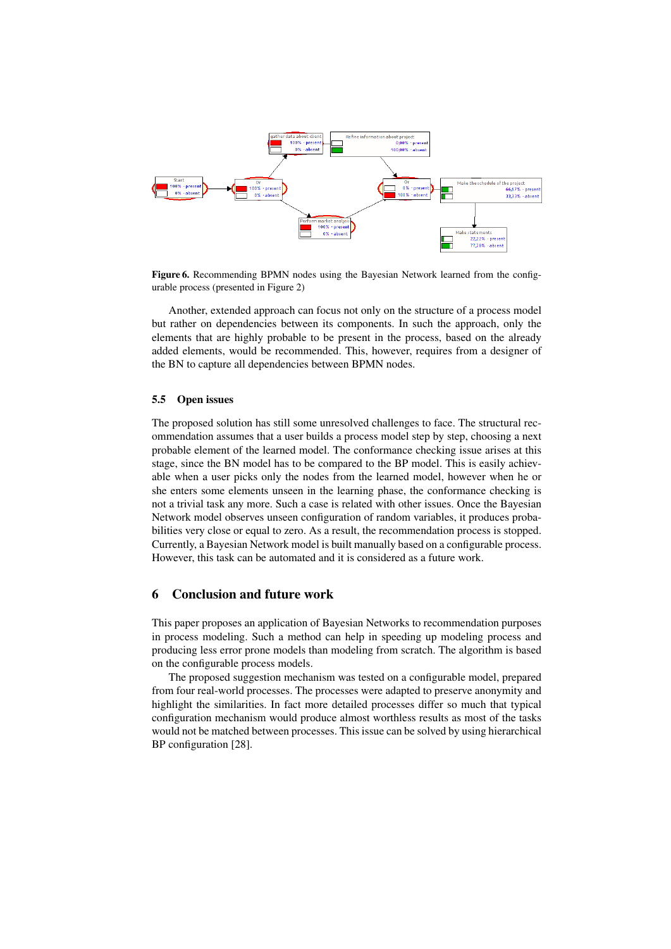

Figure 6. Recommending BPMN nodes using the Bayesian Network learned from the configurable process (presented in Figure 2)

Another, extended approach can focus not only on the structure of a process model but rather on dependencies between its components. In such the approach, only the elements that are highly probable to be present in the process, based on the already added elements, would be recommended. This, however, requires from a designer of the BN to capture all dependencies between BPMN nodes.

#### 5.5 Open issues

The proposed solution has still some unresolved challenges to face. The structural recommendation assumes that a user builds a process model step by step, choosing a next probable element of the learned model. The conformance checking issue arises at this stage, since the BN model has to be compared to the BP model. This is easily achievable when a user picks only the nodes from the learned model, however when he or she enters some elements unseen in the learning phase, the conformance checking is not a trivial task any more. Such a case is related with other issues. Once the Bayesian Network model observes unseen configuration of random variables, it produces probabilities very close or equal to zero. As a result, the recommendation process is stopped. Currently, a Bayesian Network model is built manually based on a configurable process. However, this task can be automated and it is considered as a future work.

#### 6 Conclusion and future work

This paper proposes an application of Bayesian Networks to recommendation purposes in process modeling. Such a method can help in speeding up modeling process and producing less error prone models than modeling from scratch. The algorithm is based on the configurable process models.

The proposed suggestion mechanism was tested on a configurable model, prepared from four real-world processes. The processes were adapted to preserve anonymity and highlight the similarities. In fact more detailed processes differ so much that typical configuration mechanism would produce almost worthless results as most of the tasks would not be matched between processes. This issue can be solved by using hierarchical BP configuration [28].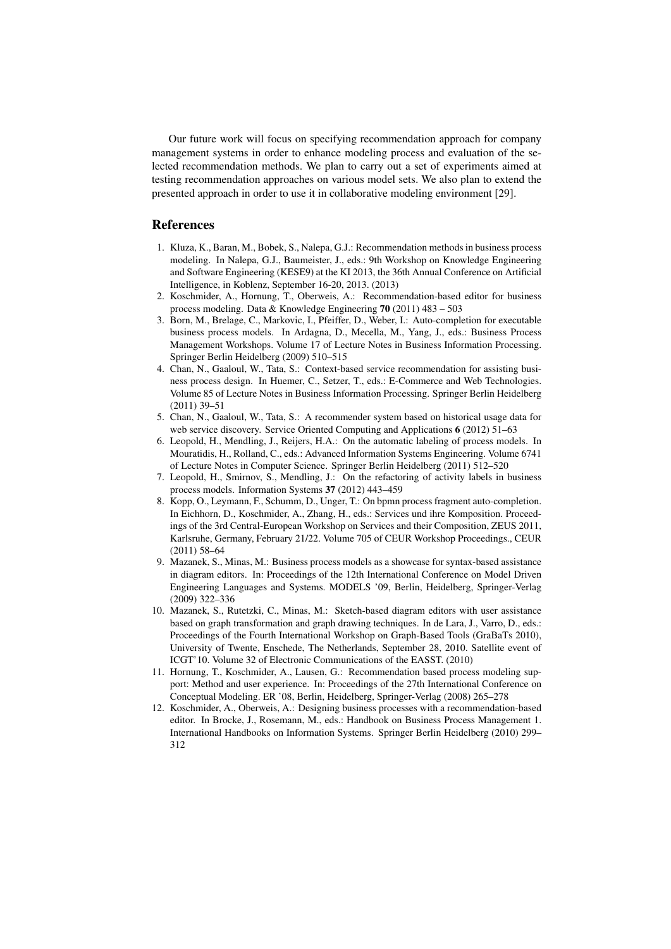Our future work will focus on specifying recommendation approach for company management systems in order to enhance modeling process and evaluation of the selected recommendation methods. We plan to carry out a set of experiments aimed at testing recommendation approaches on various model sets. We also plan to extend the presented approach in order to use it in collaborative modeling environment [29].

#### References

- 1. Kluza, K., Baran, M., Bobek, S., Nalepa, G.J.: Recommendation methods in business process modeling. In Nalepa, G.J., Baumeister, J., eds.: 9th Workshop on Knowledge Engineering and Software Engineering (KESE9) at the KI 2013, the 36th Annual Conference on Artificial Intelligence, in Koblenz, September 16-20, 2013. (2013)
- 2. Koschmider, A., Hornung, T., Oberweis, A.: Recommendation-based editor for business process modeling. Data & Knowledge Engineering 70 (2011) 483 – 503
- 3. Born, M., Brelage, C., Markovic, I., Pfeiffer, D., Weber, I.: Auto-completion for executable business process models. In Ardagna, D., Mecella, M., Yang, J., eds.: Business Process Management Workshops. Volume 17 of Lecture Notes in Business Information Processing. Springer Berlin Heidelberg (2009) 510–515
- 4. Chan, N., Gaaloul, W., Tata, S.: Context-based service recommendation for assisting business process design. In Huemer, C., Setzer, T., eds.: E-Commerce and Web Technologies. Volume 85 of Lecture Notes in Business Information Processing. Springer Berlin Heidelberg (2011) 39–51
- 5. Chan, N., Gaaloul, W., Tata, S.: A recommender system based on historical usage data for web service discovery. Service Oriented Computing and Applications 6 (2012) 51–63
- 6. Leopold, H., Mendling, J., Reijers, H.A.: On the automatic labeling of process models. In Mouratidis, H., Rolland, C., eds.: Advanced Information Systems Engineering. Volume 6741 of Lecture Notes in Computer Science. Springer Berlin Heidelberg (2011) 512–520
- 7. Leopold, H., Smirnov, S., Mendling, J.: On the refactoring of activity labels in business process models. Information Systems 37 (2012) 443–459
- 8. Kopp, O., Leymann, F., Schumm, D., Unger, T.: On bpmn process fragment auto-completion. In Eichhorn, D., Koschmider, A., Zhang, H., eds.: Services und ihre Komposition. Proceedings of the 3rd Central-European Workshop on Services and their Composition, ZEUS 2011, Karlsruhe, Germany, February 21/22. Volume 705 of CEUR Workshop Proceedings., CEUR (2011) 58–64
- 9. Mazanek, S., Minas, M.: Business process models as a showcase for syntax-based assistance in diagram editors. In: Proceedings of the 12th International Conference on Model Driven Engineering Languages and Systems. MODELS '09, Berlin, Heidelberg, Springer-Verlag (2009) 322–336
- 10. Mazanek, S., Rutetzki, C., Minas, M.: Sketch-based diagram editors with user assistance based on graph transformation and graph drawing techniques. In de Lara, J., Varro, D., eds.: Proceedings of the Fourth International Workshop on Graph-Based Tools (GraBaTs 2010), University of Twente, Enschede, The Netherlands, September 28, 2010. Satellite event of ICGT'10. Volume 32 of Electronic Communications of the EASST. (2010)
- 11. Hornung, T., Koschmider, A., Lausen, G.: Recommendation based process modeling support: Method and user experience. In: Proceedings of the 27th International Conference on Conceptual Modeling. ER '08, Berlin, Heidelberg, Springer-Verlag (2008) 265–278
- 12. Koschmider, A., Oberweis, A.: Designing business processes with a recommendation-based editor. In Brocke, J., Rosemann, M., eds.: Handbook on Business Process Management 1. International Handbooks on Information Systems. Springer Berlin Heidelberg (2010) 299– 312